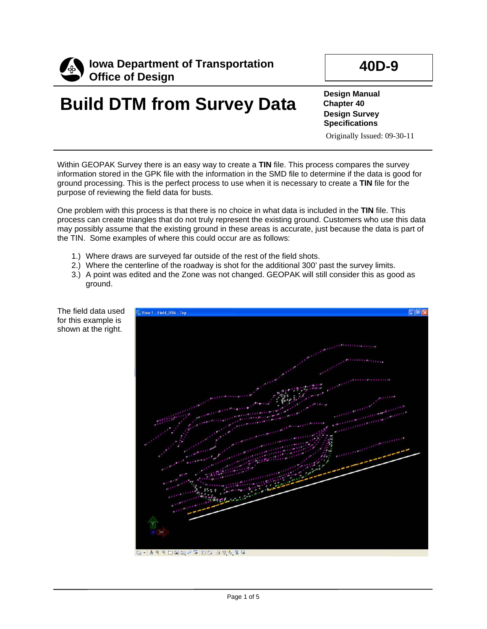

## **Build DTM from Survey Data**

**Design Manual Chapter 40 Design Survey Specifications**

Originally Issued: 09-30-11

Within GEOPAK Survey there is an easy way to create a **TIN** file. This process compares the survey information stored in the GPK file with the information in the SMD file to determine if the data is good for ground processing. This is the perfect process to use when it is necessary to create a **TIN** file for the purpose of reviewing the field data for busts.

One problem with this process is that there is no choice in what data is included in the **TIN** file. This process can create triangles that do not truly represent the existing ground. Customers who use this data may possibly assume that the existing ground in these areas is accurate, just because the data is part of the TIN. Some examples of where this could occur are as follows:

- 1.) Where draws are surveyed far outside of the rest of the field shots.
- 2.) Where the centerline of the roadway is shot for the additional 300' past the survey limits.
- 3.) A point was edited and the Zone was not changed. GEOPAK will still consider this as good as ground.



The field data used for this example is shown at the right.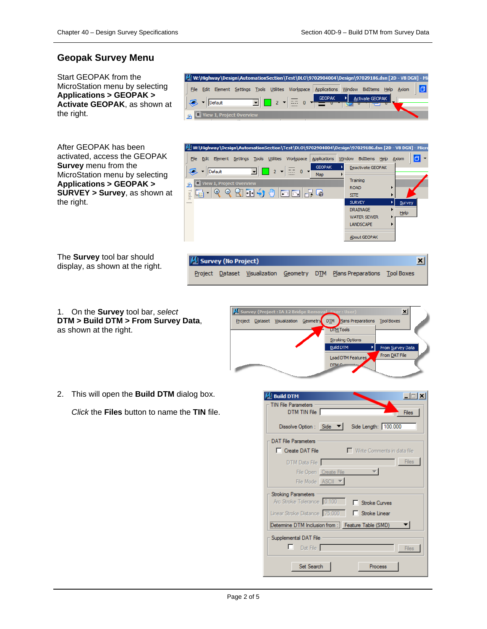## **Geopak Survey Menu**

Start GEOPAK from the MicroStation menu by selecting **Applications > GEOPAK > Activate GEOPAK**, as shown at the right.

|                                 | M. W:\Highway\Design\AutomationSection\Test\DLO\9702904004\Design\97029186.dsn [2D - V8 DGN] - Mi |
|---------------------------------|---------------------------------------------------------------------------------------------------|
| File                            | Edit Element Settings Tools Utilities Workspace Applications Window BidItems Help Axiom           |
| Default                         | $\boxed{1}$ 2 $\boxed{2}$ 0 $\boxed{3}$<br>Activate GEOPAK                                        |
| $\Box$ View 1, Project Overview |                                                                                                   |

After GEOPAK has been activated, access the GEOPAK **Survey** menu from the MicroStation menu by selecting **Applications > GEOPAK > SURVEY > Survey**, as shown at the right.

The **Survey** tool bar should display, as shown at the right.



1. On the **Survey** tool bar, *select* 

**DTM > Build DTM > From Survey Data**, as shown at the right.



2. This will open the **Build DTM** dialog box.

*Click* the **Files** button to name the **TIN** file.

| <b>Build DTM</b>                                                          |
|---------------------------------------------------------------------------|
| TIN File Parameters<br>DTM TIN File<br><b>Files</b>                       |
| Side Length: 100.000<br>Dissolve Option : Side $\blacktriangledown$       |
| <b>DAT File Parameters</b>                                                |
| Write Comments in data file<br>□ Create DAT File                          |
| <b>Files</b><br>DTM Data File                                             |
| File Open Create File                                                     |
| File Mode   ASCII                                                         |
| <b>Stroking Parameters</b><br>Arc Stroke Tolerance 0.100<br>Stroke Curves |
| Linear Stroke Distance 75,000<br>□ Stroke Linear                          |
| Determine DTM Inclusion from : Feature Table (SMD)                        |
| Supplemental DAT File                                                     |
| Dat File<br><b>Files</b>                                                  |
| Set Search<br>Process                                                     |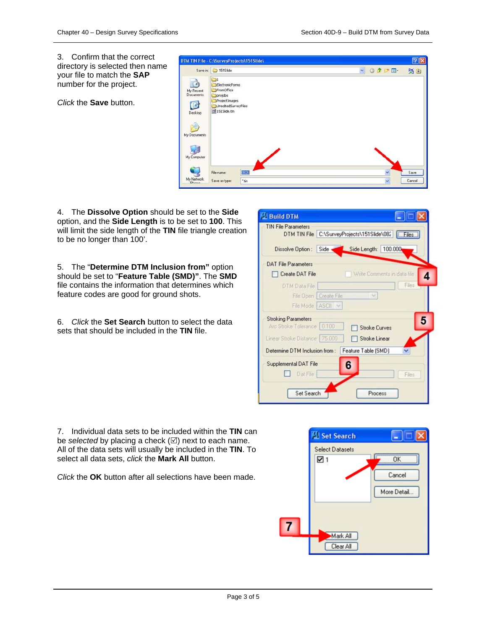3. Confirm that the correct directory is selected then name your file to match the **SAP** number for the project.

*Click* the **Save** button.

|                                                                                                                        | DTM TIN File - C:\SurveyProjects\151Slide\<br>Save in: 1515lide                                                        | OFPE-<br>× | $[2] \times$<br>50 |
|------------------------------------------------------------------------------------------------------------------------|------------------------------------------------------------------------------------------------------------------------|------------|--------------------|
| z<br>My Recent<br>Documents<br>G<br>Desktop                                                                            | ElectronicForms<br>FromOffice<br>projdbs<br>ProjectImages<br>UneditedSurveyFiles<br>$\overline{\text{m}}$ 1515lide.tin |            |                    |
| My Documents<br>My Computer<br>$\begin{array}{c} \tiny\textsf{My Network}\\ \tiny\textsf{DI_{\text{max}}} \end{array}$ | 0826<br>File name:<br>Save as type:<br>$t_{\text{min}}$                                                                | ×<br>v     | Save<br>Cancel     |

4. The **Dissolve Option** should be set to the **Side** option, and the **Side Length** is to be set to **100**. This will limit the side length of the **TIN** file triangle creation to be no longer than 100'.

5. The "**Determine DTM Inclusion from"** option should be set to "**Feature Table (SMD)"**. The **SMD** file contains the information that determines which feature codes are good for ground shots.

6. *Click* the **Set Search** button to select the data sets that should be included in the **TIN** file.

| <b>TIN File Parameters</b>                                 |                         | DTM TIN File C:\SurveyProjects\151Slide\082 | <b>Eles</b>                 |
|------------------------------------------------------------|-------------------------|---------------------------------------------|-----------------------------|
| Dissolve Option: Side Side Side Length: 100.000            |                         |                                             |                             |
| <b>DAT File Parameters</b>                                 |                         |                                             |                             |
| Create DAT File                                            |                         |                                             | Write Comments in data file |
| DTM Data File                                              |                         |                                             | Files                       |
|                                                            | File Open   Create File | Ÿ.                                          |                             |
|                                                            | File Mode ASCII v       |                                             |                             |
| <b>Stroking Parameters</b><br>Arc Stroke Tolerance   0.100 |                         | <b>Stroke Curves</b>                        | 5                           |
| Linear Stroke Distance   75.000                            |                         | Stroke Linear                               |                             |
| Determine DTM Inclusion from:                              |                         | Feature Table (SMD)                         |                             |
| Supplemental DAT File<br><b>Dat File</b>                   |                         | 6                                           | Files                       |

7. Individual data sets to be included within the **TIN** can be *selected* by placing a check  $(\boxtimes)$  next to each name. All of the data sets will usually be included in the **TIN**. To select all data sets, *click* the **Mark All** button.

*Click* the **OK** button after all selections have been made.

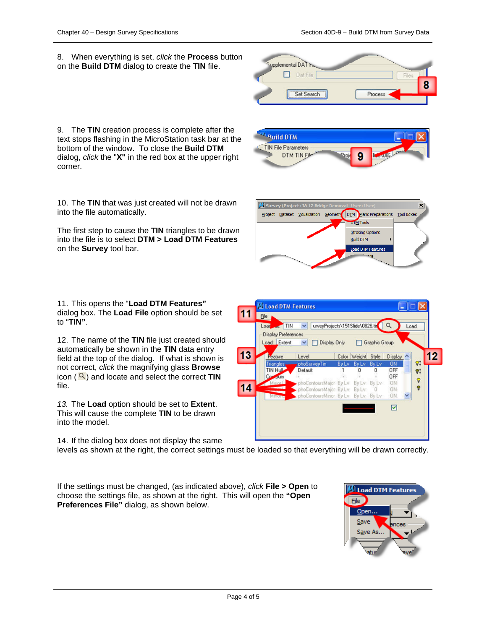$\vert x \vert$ 

8. When everything is set, *click* the **Process** button on the **Build DTM** dialog to create the **TIN** file.



**ATO bliv<sup>9</sup> TIN File Parameters DTM TIN Fill** 

Survey (Project: IA 12 B

Project Dataset Visualization Geometr

9. The **TIN** creation process is complete after the text stops flashing in the MicroStation task bar at the bottom of the window. To close the **Build DTM**  dialog, *click* the "**X"** in the red box at the upper right corner.

10. The **TIN** that was just created will not be drawn into the file automatically.

The first step to cause the **TIN** triangles to be drawn into the file is to select **DTM > Load DTM Features** on the **Survey** tool bar.

11. This opens the "**Load DTM Features"** dialog box. The **Load File** option should be set to "**TIN"**.

12. The name of the **TIN** file just created should automatically be shown in the **TIN** data entry field at the top of the dialog. If what is shown is not correct, *click* the magnifying glass **Browse** icon  $($   $\mathbb{Q}$ ) and locate and select the correct **TIN** file.

*13.* The **Load** option should be set to **Extent**. This will cause the complete **TIN** to be drawn into the model.

14. If the dialog box does not display the same

levels as shown at the right, the correct settings must be loaded so that everything will be drawn correctly.

**14** 

If the settings must be changed, (as indicated above), *click* **File > Open** to choose the settings file, as shown at the right. This will open the **"Open Preferences File"** dialog, as shown below.



OFF

ON

**DN** 

ON. ☑

 $\mathbf{0}$ 

Ō.

۰



phoContoursMajor By Lv By Lv By Lv

phoContoursMinor By Lv By Lv By Lv

phoContoursMajor By Lv By Lv

DIM

**DTM** Tools **Stroking Options Build DTM** Load DTM Featu

Plans Preparations Tool Box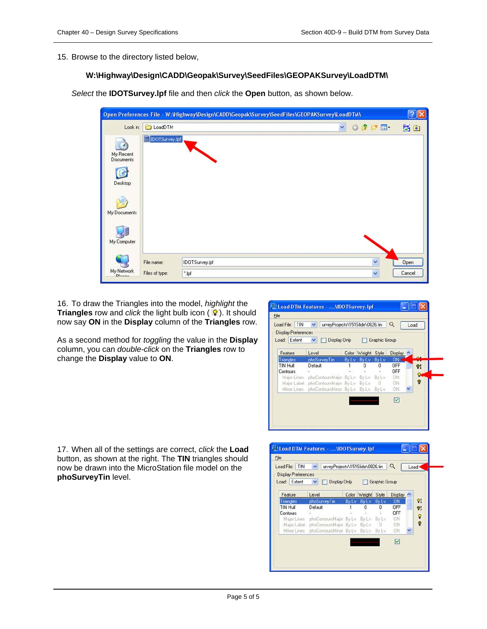15. Browse to the directory listed below,

## **W:\Highway\Design\CADD\Geopak\Survey\SeedFiles\GEOPAKSurvey\LoadDTM\**

*Select* the **IDOTSurvey.lpf** file and then *click* the **Open** button, as shown below.

|                                          |                  |                | Open Preferences File - W:\Highway\Design\CADD\Geopak\Survey\SeedFiles\GEOPAKSurvey\LoadDTM\ |              |         | $\sqrt{2}$ |
|------------------------------------------|------------------|----------------|----------------------------------------------------------------------------------------------|--------------|---------|------------|
| Look in:                                 | <b>C</b> LoadDTM |                | Y                                                                                            |              | O D D E | 50         |
| My Recent<br>Documents<br>l f<br>Desktop | IDOTSurvey.lpf   |                |                                                                                              |              |         |            |
| My Documents                             |                  |                |                                                                                              |              |         |            |
| My Computer                              |                  |                |                                                                                              |              |         |            |
| My Network                               | File name:       | IDOTSurvey.lpf |                                                                                              | $\checkmark$ |         | Open       |
| $D _{n,n,n}$                             | Files of type:   | ".lpf          |                                                                                              | $\check{}$   |         | Cancel     |

16. To draw the Triangles into the model, *highlight* the **Triangles** row and *click* the light bulb icon ( ). It should now say **ON** in the **Display** column of the **Triangles** row.

As a second method for *toggling* the value in the **Display**  column, you can *double-click* on the **Triangles** row to change the **Display** value to **ON**.

| Load File: TIN V<br><b>Display Preferences</b><br>Load: Extent | urveyProjects\151Slide\0826.tin<br>Display Only<br>$\vee$ $\Box$ |              |              | Graphic Group | Q         | Load |  |
|----------------------------------------------------------------|------------------------------------------------------------------|--------------|--------------|---------------|-----------|------|--|
| Feature                                                        | Level                                                            | Color        | Weight       | Style         | Display   |      |  |
| Triangles                                                      | phoSurveyTin                                                     | <b>By Ly</b> | <b>By Ly</b> | <b>By Ly</b>  | ON        |      |  |
| <b>TIN Hull</b>                                                | Default                                                          |              | 0            | 0             | OFF       |      |  |
| Contours                                                       |                                                                  |              |              |               | OFF       |      |  |
|                                                                | Major Lines phoContoursMajor By Lv By Lv By Lv                   |              |              |               | <b>ON</b> |      |  |
|                                                                | Major Label phoContoursMajor By Lv By Lv 0                       |              |              |               | ON-       |      |  |
|                                                                | Minor Lines phoContoursMinor By Lv By Lv By Lv                   |              |              |               | ON        |      |  |
|                                                                |                                                                  |              |              |               | ☑         |      |  |

17. When all of the settings are correct, *click* the **Load** button, as shown at the right. The **TIN** triangles should now be drawn into the MicroStation file model on the **phoSurveyTin** level.